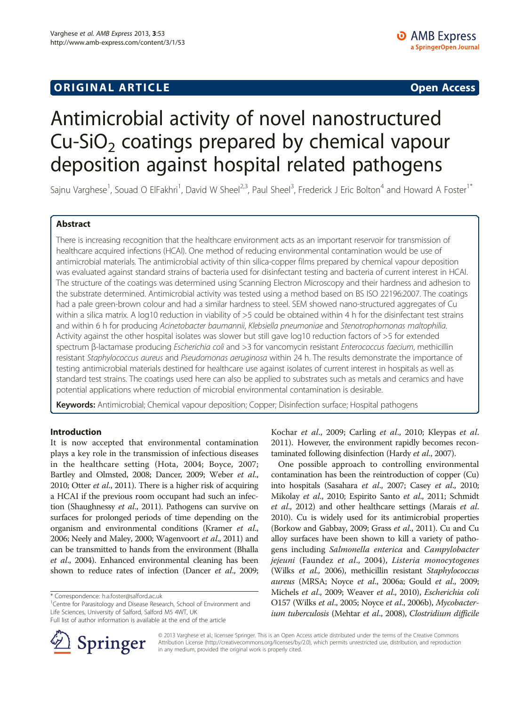# **ORIGINAL ARTICLE CONSUMING A LIGACION CONSUMING A LIGACION CONSUMING A LIGACION**

# Antimicrobial activity of novel nanostructured  $Cu-SiO<sub>2</sub>$  coatings prepared by chemical vapour deposition against hospital related pathogens

Sajnu Varghese<sup>1</sup>, Souad O ElFakhri<sup>1</sup>, David W Sheel<sup>2,3</sup>, Paul Sheel<sup>3</sup>, Frederick J Eric Bolton<sup>4</sup> and Howard A Foster<sup>1\*</sup>

# Abstract

There is increasing recognition that the healthcare environment acts as an important reservoir for transmission of healthcare acquired infections (HCAI). One method of reducing environmental contamination would be use of antimicrobial materials. The antimicrobial activity of thin silica-copper films prepared by chemical vapour deposition was evaluated against standard strains of bacteria used for disinfectant testing and bacteria of current interest in HCAI. The structure of the coatings was determined using Scanning Electron Microscopy and their hardness and adhesion to the substrate determined. Antimicrobial activity was tested using a method based on BS ISO 22196:2007. The coatings had a pale green-brown colour and had a similar hardness to steel. SEM showed nano-structured aggregates of Cu within a silica matrix. A log10 reduction in viability of >5 could be obtained within 4 h for the disinfectant test strains and within 6 h for producing Acinetobacter baumannii, Klebsiella pneumoniae and Stenotrophomonas maltophilia. Activity against the other hospital isolates was slower but still gave log10 reduction factors of >5 for extended spectrum β-lactamase producing Escherichia coli and >3 for vancomycin resistant Enterococcus faecium, methicillin resistant Staphylococcus aureus and Pseudomonas aeruginosa within 24 h. The results demonstrate the importance of testing antimicrobial materials destined for healthcare use against isolates of current interest in hospitals as well as standard test strains. The coatings used here can also be applied to substrates such as metals and ceramics and have potential applications where reduction of microbial environmental contamination is desirable.

Keywords: Antimicrobial; Chemical vapour deposition; Copper; Disinfection surface; Hospital pathogens

# Introduction

It is now accepted that environmental contamination plays a key role in the transmission of infectious diseases in the healthcare setting (Hota, [2004;](#page-6-0) Boyce, [2007](#page-6-0); Bartley and Olmsted, [2008](#page-6-0); Dancer, [2009;](#page-6-0) Weber et al., [2010;](#page-7-0) Otter et al., [2011\)](#page-7-0). There is a higher risk of acquiring a HCAI if the previous room occupant had such an infection (Shaughnessy et al., [2011](#page-7-0)). Pathogens can survive on surfaces for prolonged periods of time depending on the organism and environmental conditions (Kramer et al., [2006;](#page-6-0) Neely and Maley, [2000;](#page-7-0) Wagenvoort et al., [2011](#page-7-0)) and can be transmitted to hands from the environment (Bhalla et al., [2004](#page-6-0)). Enhanced environmental cleaning has been shown to reduce rates of infection (Dancer *et al.*, [2009](#page-6-0);

<sup>1</sup> Centre for Parasitology and Disease Research, School of Environment and Life Sciences, University of Salford, Salford M5 4WT, UK

Full list of author information is available at the end of the article



Kochar et al., [2009](#page-6-0); Carling et al., [2010;](#page-6-0) Kleypas et al. [2011](#page-6-0)). However, the environment rapidly becomes recontaminated following disinfection (Hardy et al., [2007\)](#page-6-0).

One possible approach to controlling environmental contamination has been the reintroduction of copper (Cu) into hospitals (Sasahara et al., [2007](#page-7-0); Casey et al., [2010](#page-6-0); Mikolay et al., [2010;](#page-7-0) Espirito Santo et al., [2011](#page-6-0); Schmidt et al., [2012](#page-7-0)) and other healthcare settings (Marais et al. [2010\)](#page-6-0). Cu is widely used for its antimicrobial properties (Borkow and Gabbay, [2009;](#page-6-0) Grass et al., [2011\)](#page-6-0). Cu and Cu alloy surfaces have been shown to kill a variety of pathogens including Salmonella enterica and Campylobacter jejeuni (Faundez et al., [2004](#page-6-0)), Listeria monocytogenes (Wilks et al., [2006](#page-7-0)), methicillin resistant Staphylococcus aureus (MRSA; Noyce et al., [2006a](#page-7-0); Gould et al., [2009](#page-6-0); Michels et al., [2009](#page-7-0); Weaver et al., [2010](#page-7-0)), Escherichia coli O157 (Wilks et al., [2005](#page-7-0); Noyce et al., [2006b](#page-7-0)), Mycobacterium tuberculosis (Mehtar et al., [2008](#page-6-0)), Clostridium difficile

© 2013 Varghese et al.; licensee Springer. This is an Open Access article distributed under the terms of the Creative Commons Attribution License [\(http://creativecommons.org/licenses/by/2.0\)](http://creativecommons.org/licenses/by/2.0), which permits unrestricted use, distribution, and reproduction in any medium, provided the original work is properly cited.

<sup>\*</sup> Correspondence: [h.a.foster@salford.ac.uk](mailto:h.a.foster@salford.ac.uk) <sup>1</sup>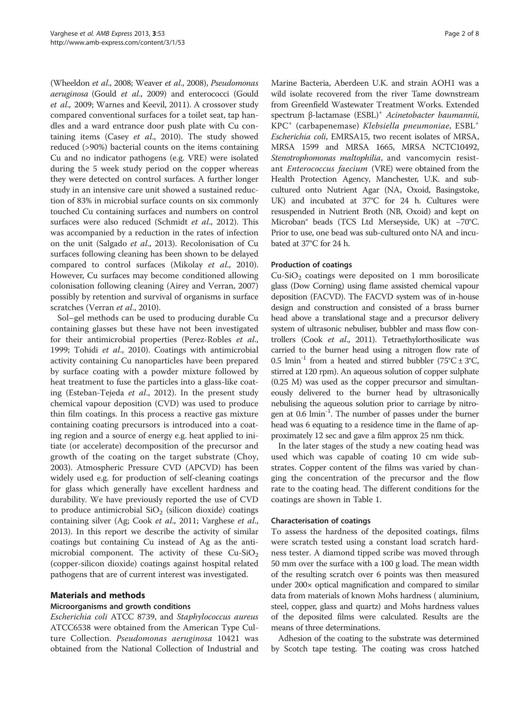(Wheeldon et al., [2008](#page-7-0); Weaver et al., [2008\)](#page-7-0), Pseudomonas aeruginosa (Gould et al., [2009](#page-6-0)) and enterococci (Gould et al., [2009](#page-6-0); Warnes and Keevil, [2011\)](#page-7-0). A crossover study compared conventional surfaces for a toilet seat, tap handles and a ward entrance door push plate with Cu containing items (Casey et  $al$ ., [2010](#page-6-0)). The study showed reduced (>90%) bacterial counts on the items containing Cu and no indicator pathogens (e.g. VRE) were isolated during the 5 week study period on the copper whereas they were detected on control surfaces. A further longer study in an intensive care unit showed a sustained reduction of 83% in microbial surface counts on six commonly touched Cu containing surfaces and numbers on control surfaces were also reduced (Schmidt et al., [2012\)](#page-7-0). This was accompanied by a reduction in the rates of infection on the unit (Salgado et al., [2013\)](#page-7-0). Recolonisation of Cu surfaces following cleaning has been shown to be delayed compared to control surfaces (Mikolay et al., [2010](#page-7-0)). However, Cu surfaces may become conditioned allowing colonisation following cleaning (Airey and Verran, [2007](#page-6-0)) possibly by retention and survival of organisms in surface scratches (Verran et al., [2010](#page-7-0)).

Sol–gel methods can be used to producing durable Cu containing glasses but these have not been investigated for their antimicrobial properties (Perez-Robles et al., [1999](#page-7-0); Tohidi et al., [2010\)](#page-7-0). Coatings with antimicrobial activity containing Cu nanoparticles have been prepared by surface coating with a powder mixture followed by heat treatment to fuse the particles into a glass-like coating (Esteban-Tejeda et al., [2012\)](#page-6-0). In the present study chemical vapour deposition (CVD) was used to produce thin film coatings. In this process a reactive gas mixture containing coating precursors is introduced into a coating region and a source of energy e.g. heat applied to initiate (or accelerate) decomposition of the precursor and growth of the coating on the target substrate (Choy, [2003](#page-6-0)). Atmospheric Pressure CVD (APCVD) has been widely used e.g. for production of self-cleaning coatings for glass which generally have excellent hardness and durability. We have previously reported the use of CVD to produce antimicrobial  $SiO<sub>2</sub>$  (silicon dioxide) coatings containing silver (Ag; Cook et al., [2011](#page-6-0); Varghese et al., [2013](#page-7-0)). In this report we describe the activity of similar coatings but containing Cu instead of Ag as the antimicrobial component. The activity of these  $Cu-SiO<sub>2</sub>$ (copper-silicon dioxide) coatings against hospital related pathogens that are of current interest was investigated.

# Materials and methods

# Microorganisms and growth conditions

Escherichia coli ATCC 8739, and Staphylococcus aureus ATCC6538 were obtained from the American Type Culture Collection. Pseudomonas aeruginosa 10421 was obtained from the National Collection of Industrial and

Marine Bacteria, Aberdeen U.K. and strain AOH1 was a wild isolate recovered from the river Tame downstream from Greenfield Wastewater Treatment Works. Extended spectrum β-lactamase (ESBL)<sup>+</sup> Acinetobacter baumannii, KPC<sup>+</sup> (carbapenemase) Klebsiella pneumoniae, ESBL<sup>+</sup> Escherichia coli, EMRSA15, two recent isolates of MRSA, MRSA 1599 and MRSA 1665, MRSA NCTC10492, Stenotrophomonas maltophilia, and vancomycin resistant Enterococcus faecium (VRE) were obtained from the Health Protection Agency, Manchester, U.K. and subcultured onto Nutrient Agar (NA, Oxoid, Basingstoke, UK) and incubated at 37°C for 24 h. Cultures were resuspended in Nutrient Broth (NB, Oxoid) and kept on Microban® beads (TCS Ltd Merseyside, UK) at −70°C. Prior to use, one bead was sub-cultured onto NA and incubated at 37°C for 24 h.

## Production of coatings

 $Cu-SiO<sub>2</sub>$  coatings were deposited on 1 mm borosilicate glass (Dow Corning) using flame assisted chemical vapour deposition (FACVD). The FACVD system was of in-house design and construction and consisted of a brass burner head above a translational stage and a precursor delivery system of ultrasonic nebuliser, bubbler and mass flow con-trollers (Cook et al., [2011\)](#page-6-0). Tetraethylorthosilicate was carried to the burner head using a nitrogen flow rate of 0.5  $\text{lmin}^{-1}$  from a heated and stirred bubbler (75°C ± 3°C, stirred at 120 rpm). An aqueous solution of copper sulphate (0.25 M) was used as the copper precursor and simultaneously delivered to the burner head by ultrasonically nebulising the aqueous solution prior to carriage by nitrogen at 0.6 lmin<sup>-1</sup>. The number of passes under the burner head was 6 equating to a residence time in the flame of approximately 12 sec and gave a film approx 25 nm thick.

In the later stages of the study a new coating head was used which was capable of coating 10 cm wide substrates. Copper content of the films was varied by changing the concentration of the precursor and the flow rate to the coating head. The different conditions for the coatings are shown in Table [1.](#page-2-0)

#### Characterisation of coatings

To assess the hardness of the deposited coatings, films were scratch tested using a constant load scratch hardness tester. A diamond tipped scribe was moved through 50 mm over the surface with a 100 g load. The mean width of the resulting scratch over 6 points was then measured under 200× optical magnification and compared to similar data from materials of known Mohs hardness ( aluminium, steel, copper, glass and quartz) and Mohs hardness values of the deposited films were calculated. Results are the means of three determinations.

Adhesion of the coating to the substrate was determined by Scotch tape testing. The coating was cross hatched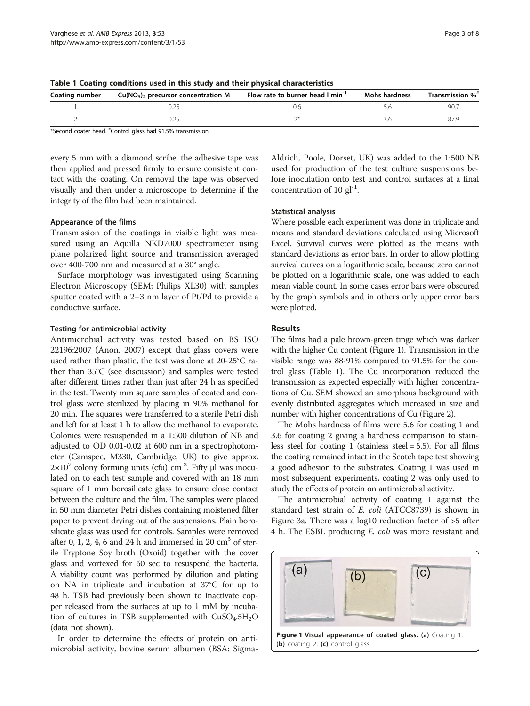| Coating number | $Cu(NO3)$ , precursor concentration M | Flow rate to burner head I min <sup>-1</sup> | Mohs hardness | Transmission % <sup>#</sup> |
|----------------|---------------------------------------|----------------------------------------------|---------------|-----------------------------|
|                |                                       |                                              |               | 90.7                        |
|                |                                       |                                              |               | 87 Y                        |

<span id="page-2-0"></span>Table 1 Coating conditions used in this study and their physical characteristics

\*Second coater head. # Control glass had 91.5% transmission.

every 5 mm with a diamond scribe, the adhesive tape was then applied and pressed firmly to ensure consistent contact with the coating. On removal the tape was observed visually and then under a microscope to determine if the integrity of the film had been maintained.

#### Appearance of the films

Transmission of the coatings in visible light was measured using an Aquilla NKD7000 spectrometer using plane polarized light source and transmission averaged over 400-700 nm and measured at a 30° angle.

Surface morphology was investigated using Scanning Electron Microscopy (SEM; Philips XL30) with samples sputter coated with a 2–3 nm layer of Pt/Pd to provide a conductive surface.

#### Testing for antimicrobial activity

Antimicrobial activity was tested based on BS ISO 22196:2007 (Anon. [2007](#page-6-0)) except that glass covers were used rather than plastic, the test was done at 20-25°C rather than 35°C (see discussion) and samples were tested after different times rather than just after 24 h as specified in the test. Twenty mm square samples of coated and control glass were sterilized by placing in 90% methanol for 20 min. The squares were transferred to a sterile Petri dish and left for at least 1 h to allow the methanol to evaporate. Colonies were resuspended in a 1:500 dilution of NB and adjusted to OD 0.01-0.02 at 600 nm in a spectrophotometer (Camspec, M330, Cambridge, UK) to give approx.  $2\times10^7$  colony forming units (cfu) cm<sup>-3</sup>. Fifty μl was inoculated on to each test sample and covered with an 18 mm square of 1 mm borosilicate glass to ensure close contact between the culture and the film. The samples were placed in 50 mm diameter Petri dishes containing moistened filter paper to prevent drying out of the suspensions. Plain borosilicate glass was used for controls. Samples were removed after 0, 1, 2, 4, 6 and 24 h and immersed in 20  $\text{cm}^3$  of sterile Tryptone Soy broth (Oxoid) together with the cover glass and vortexed for 60 sec to resuspend the bacteria. A viability count was performed by dilution and plating on NA in triplicate and incubation at 37°C for up to 48 h. TSB had previously been shown to inactivate copper released from the surfaces at up to 1 mM by incubation of cultures in TSB supplemented with  $CuSO<sub>4</sub>$ .5H<sub>2</sub>O (data not shown).

In order to determine the effects of protein on antimicrobial activity, bovine serum albumen (BSA: Sigma-

Aldrich, Poole, Dorset, UK) was added to the 1:500 NB used for production of the test culture suspensions before inoculation onto test and control surfaces at a final concentration of 10  $gl^{-1}$ .

#### Statistical analysis

Where possible each experiment was done in triplicate and means and standard deviations calculated using Microsoft Excel. Survival curves were plotted as the means with standard deviations as error bars. In order to allow plotting survival curves on a logarithmic scale, because zero cannot be plotted on a logarithmic scale, one was added to each mean viable count. In some cases error bars were obscured by the graph symbols and in others only upper error bars were plotted.

#### Results

The films had a pale brown-green tinge which was darker with the higher Cu content (Figure 1). Transmission in the visible range was 88-91% compared to 91.5% for the control glass (Table 1). The Cu incorporation reduced the transmission as expected especially with higher concentrations of Cu. SEM showed an amorphous background with evenly distributed aggregates which increased in size and number with higher concentrations of Cu (Figure [2](#page-3-0)).

The Mohs hardness of films were 5.6 for coating 1 and 3.6 for coating 2 giving a hardness comparison to stainless steel for coating 1 (stainless steel = 5.5). For all films the coating remained intact in the Scotch tape test showing a good adhesion to the substrates. Coating 1 was used in most subsequent experiments, coating 2 was only used to study the effects of protein on antimicrobial activity.

The antimicrobial activity of coating 1 against the standard test strain of E. coli (ATCC8739) is shown in Figure [3a](#page-3-0). There was a log10 reduction factor of >5 after 4 h. The ESBL producing *E. coli* was more resistant and

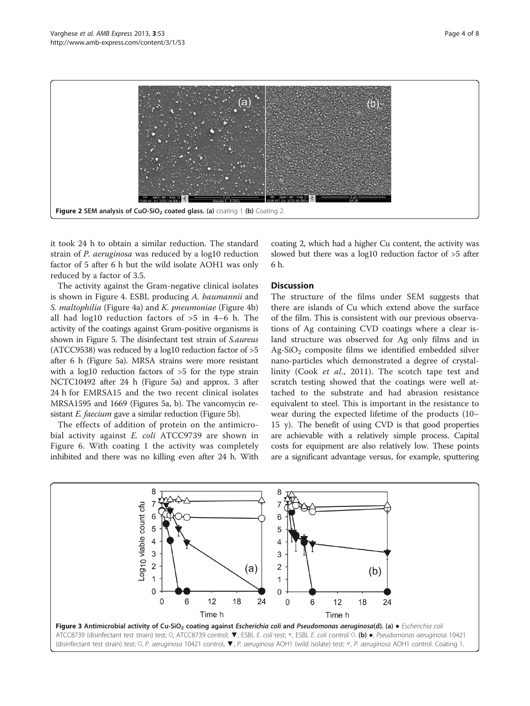<span id="page-3-0"></span>

it took 24 h to obtain a similar reduction. The standard strain of P. aeruginosa was reduced by a log10 reduction factor of 5 after 6 h but the wild isolate AOH1 was only reduced by a factor of 3.5.

The activity against the Gram-negative clinical isolates is shown in Figure [4.](#page-4-0) ESBL producing A. baumannii and S. maltophilia (Figure [4](#page-4-0)a) and K. pneumoniae (Figure [4](#page-4-0)b) all had log10 reduction factors of >5 in 4–6 h. The activity of the coatings against Gram-positive organisms is shown in Figure [5.](#page-4-0) The disinfectant test strain of S.aureus (ATCC9538) was reduced by a log10 reduction factor of >5 after 6 h (Figure [5](#page-4-0)a). MRSA strains were more resistant with a log10 reduction factors of  $>5$  for the type strain NCTC10492 after 24 h (Figure [5a](#page-4-0)) and approx. 3 after 24 h for EMRSA15 and the two recent clinical isolates MRSA1595 and 1669 (Figures [5a](#page-4-0), b). The vancomycin resistant *E. faecium* gave a similar reduction (Figure [5](#page-4-0)b).

The effects of addition of protein on the antimicrobial activity against E. coli ATCC9739 are shown in Figure [6](#page-5-0). With coating 1 the activity was completely inhibited and there was no killing even after 24 h. With

coating 2, which had a higher Cu content, the activity was slowed but there was a log10 reduction factor of >5 after 6 h.

## **Discussion**

The structure of the films under SEM suggests that there are islands of Cu which extend above the surface of the film. This is consistent with our previous observations of Ag containing CVD coatings where a clear island structure was observed for Ag only films and in  $Ag-SiO<sub>2</sub>$  composite films we identified embedded silver nano-particles which demonstrated a degree of crystallinity (Cook et al., [2011](#page-6-0)). The scotch tape test and scratch testing showed that the coatings were well attached to the substrate and had abrasion resistance equivalent to steel. This is important in the resistance to wear during the expected lifetime of the products (10– 15 y). The benefit of using CVD is that good properties are achievable with a relatively simple process. Capital costs for equipment are also relatively low. These points are a significant advantage versus, for example, sputtering

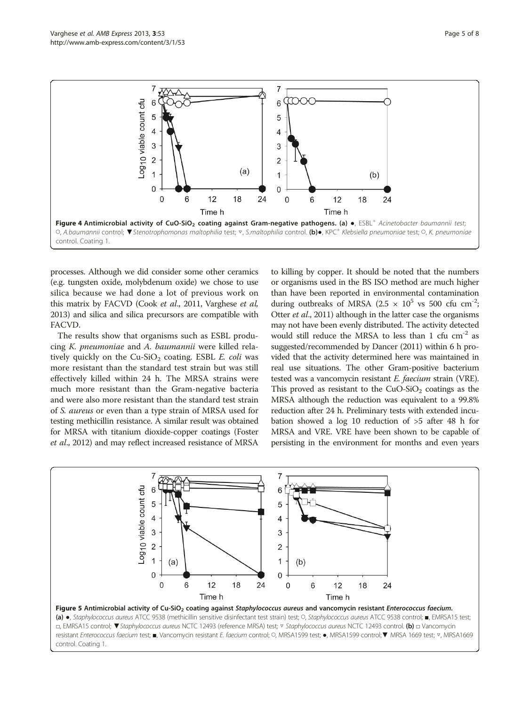<span id="page-4-0"></span>

processes. Although we did consider some other ceramics (e.g. tungsten oxide, molybdenum oxide) we chose to use silica because we had done a lot of previous work on this matrix by FACVD (Cook et al., [2011](#page-6-0), Varghese et al, [2013\)](#page-7-0) and silica and silica precursors are compatible with FACVD.

The results show that organisms such as ESBL producing K. pneumoniae and A. baumannii were killed relatively quickly on the  $Cu-SiO<sub>2</sub>$  coating. ESBL E. coli was more resistant than the standard test strain but was still effectively killed within 24 h. The MRSA strains were much more resistant than the Gram-negative bacteria and were also more resistant than the standard test strain of S. aureus or even than a type strain of MRSA used for testing methicillin resistance. A similar result was obtained for MRSA with titanium dioxide-copper coatings (Foster et al., [2012\)](#page-6-0) and may reflect increased resistance of MRSA to killing by copper. It should be noted that the numbers or organisms used in the BS ISO method are much higher than have been reported in environmental contamination during outbreaks of MRSA (2.5  $\times$  10<sup>5</sup> vs 500 cfu cm<sup>-2</sup>; Otter et al., [2011\)](#page-7-0) although in the latter case the organisms may not have been evenly distributed. The activity detected would still reduce the MRSA to less than 1 cfu  $cm^{-2}$  as suggested/recommended by Dancer ([2011\)](#page-6-0) within 6 h provided that the activity determined here was maintained in real use situations. The other Gram-positive bacterium tested was a vancomycin resistant E. faecium strain (VRE). This proved as resistant to the  $CuO-SiO<sub>2</sub>$  coatings as the MRSA although the reduction was equivalent to a 99.8% reduction after 24 h. Preliminary tests with extended incubation showed a log 10 reduction of >5 after 48 h for MRSA and VRE. VRE have been shown to be capable of persisting in the environment for months and even years

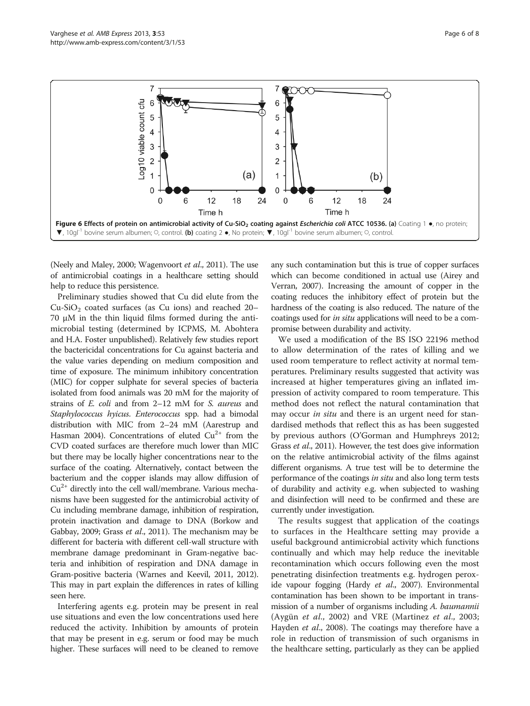<span id="page-5-0"></span>

(Neely and Maley, [2000;](#page-7-0) Wagenvoort et al., [2011\)](#page-7-0). The use of antimicrobial coatings in a healthcare setting should help to reduce this persistence.

Preliminary studies showed that Cu did elute from the  $Cu-SiO<sub>2</sub>$  coated surfaces (as Cu ions) and reached 20– 70 μM in the thin liquid films formed during the antimicrobial testing (determined by ICPMS, M. Abohtera and H.A. Foster unpublished). Relatively few studies report the bactericidal concentrations for Cu against bacteria and the value varies depending on medium composition and time of exposure. The minimum inhibitory concentration (MIC) for copper sulphate for several species of bacteria isolated from food animals was 20 mM for the majority of strains of E. coli and from 2–12 mM for S. aureus and Staphylococcus hyicus. Enterococcus spp. had a bimodal distribution with MIC from 2–24 mM (Aarestrup and Hasman [2004](#page-6-0)). Concentrations of eluted  $Cu^{2+}$  from the CVD coated surfaces are therefore much lower than MIC but there may be locally higher concentrations near to the surface of the coating. Alternatively, contact between the bacterium and the copper islands may allow diffusion of  $Cu<sup>2+</sup>$  directly into the cell wall/membrane. Various mechanisms have been suggested for the antimicrobial activity of Cu including membrane damage, inhibition of respiration, protein inactivation and damage to DNA (Borkow and Gabbay, [2009;](#page-6-0) Grass et al., [2011\)](#page-6-0). The mechanism may be different for bacteria with different cell-wall structure with membrane damage predominant in Gram-negative bacteria and inhibition of respiration and DNA damage in Gram-positive bacteria (Warnes and Keevil, [2011, 2012](#page-7-0)). This may in part explain the differences in rates of killing seen here.

Interfering agents e.g. protein may be present in real use situations and even the low concentrations used here reduced the activity. Inhibition by amounts of protein that may be present in e.g. serum or food may be much higher. These surfaces will need to be cleaned to remove any such contamination but this is true of copper surfaces which can become conditioned in actual use (Airey and Verran, [2007](#page-6-0)). Increasing the amount of copper in the coating reduces the inhibitory effect of protein but the hardness of the coating is also reduced. The nature of the coatings used for in situ applications will need to be a compromise between durability and activity.

We used a modification of the BS ISO 22196 method to allow determination of the rates of killing and we used room temperature to reflect activity at normal temperatures. Preliminary results suggested that activity was increased at higher temperatures giving an inflated impression of activity compared to room temperature. This method does not reflect the natural contamination that may occur *in situ* and there is an urgent need for standardised methods that reflect this as has been suggested by previous authors (O'Gorman and Humphreys [2012](#page-7-0); Grass et al., [2011](#page-6-0)). However, the test does give information on the relative antimicrobial activity of the films against different organisms. A true test will be to determine the performance of the coatings in situ and also long term tests of durability and activity e.g. when subjected to washing and disinfection will need to be confirmed and these are currently under investigation.

The results suggest that application of the coatings to surfaces in the Healthcare setting may provide a useful background antimicrobial activity which functions continually and which may help reduce the inevitable recontamination which occurs following even the most penetrating disinfection treatments e.g. hydrogen perox-ide vapour fogging (Hardy et al., [2007\)](#page-6-0). Environmental contamination has been shown to be important in transmission of a number of organisms including A. baumannii (Aygün et al., [2002\)](#page-6-0) and VRE (Martinez et al., [2003](#page-6-0); Hayden *et al.*, [2008\)](#page-6-0). The coatings may therefore have a role in reduction of transmission of such organisms in the healthcare setting, particularly as they can be applied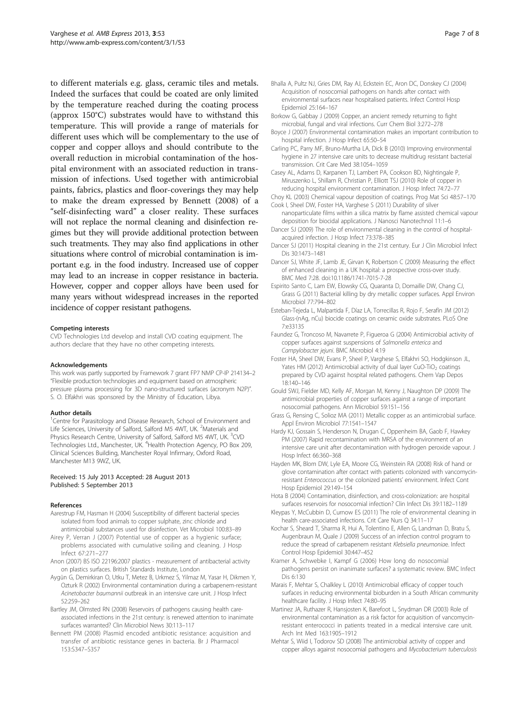<span id="page-6-0"></span>to different materials e.g. glass, ceramic tiles and metals. Indeed the surfaces that could be coated are only limited by the temperature reached during the coating process (approx 150°C) substrates would have to withstand this temperature. This will provide a range of materials for different uses which will be complementary to the use of copper and copper alloys and should contribute to the overall reduction in microbial contamination of the hospital environment with an associated reduction in transmission of infections. Used together with antimicrobial paints, fabrics, plastics and floor-coverings they may help to make the dream expressed by Bennett (2008) of a "self-disinfecting ward" a closer reality. These surfaces will not replace the normal cleaning and disinfection regimes but they will provide additional protection between such treatments. They may also find applications in other situations where control of microbial contamination is important e.g. in the food industry. Increased use of copper may lead to an increase in copper resistance in bacteria. However, copper and copper alloys have been used for many years without widespread increases in the reported incidence of copper resistant pathogens.

#### Competing interests

CVD Technologies Ltd develop and install CVD coating equipment. The authors declare that they have no other competing interests.

#### Acknowledgements

This work was partly supported by Framework 7 grant FP7 NMP CP-IP 214134–2 "Flexible production technologies and equipment based on atmospheric pressure plasma processing for 3D nano-structured surfaces (acronym N2P)". S. O. Elfakhri was sponsored by the Ministry of Education, Libya.

#### Author details

<sup>1</sup>Centre for Parasitology and Disease Research, School of Environment and Life Sciences, University of Salford, Salford M5 4WT, UK. <sup>2</sup>Materials and Physics Research Centre, University of Salford, Salford M5 4WT, UK. <sup>3</sup>CVD Technologies Ltd., Manchester, UK. <sup>4</sup>Health Protection Agency, PO Box 209, Clinical Sciences Building, Manchester Royal Infirmary, Oxford Road, Manchester M13 9WZ, UK.

#### Received: 15 July 2013 Accepted: 28 August 2013 Published: 5 September 2013

#### References

- Aarestrup FM, Hasman H (2004) Susceptibility of different bacterial species isolated from food animals to copper sulphate, zinc chloride and antimicrobial substances used for disinfection. Vet Microbiol 100:83–89
- Airey P, Verran J (2007) Potential use of copper as a hygienic surface; problems associated with cumulative soiling and cleaning. J Hosp Infect 67:271–277
- Anon (2007) BS ISO 22196:2007 plastics measurement of antibacterial activity on plastics surfaces. British Standards Institute, London
- Aygün G, Demirkiran O, Utku T, Metez B, Urkmez S, Yilmaz M, Yasar H, Dikmen Y, Ozturk R (2002) Environmental contamination during a carbapenem-resistant Acinetobacter baumannii outbreak in an intensive care unit. J Hosp Infect 52:259–262
- Bartley JM, Olmsted RN (2008) Reservoirs of pathogens causing health careassociated infections in the 21st century: is renewed attention to inanimate surfaces warranted? Clin Microbiol News 30:113–117
- Bennett PM (2008) Plasmid encoded antibiotic resistance: acquisition and transfer of antibiotic resistance genes in bacteria. Br J Pharmacol 153:S347–S357
- Bhalla A, Pultz NJ, Gries DM, Ray AJ, Eckstein EC, Aron DC, Donskey CJ (2004) Acquisition of nosocomial pathogens on hands after contact with environmental surfaces near hospitalised patients. Infect Control Hosp Epidemiol 25:164–167
- Borkow G, Gabbay J (2009) Copper, an ancient remedy returning to fight microbial, fungal and viral infections. Curr Chem Biol 3:272–278
- Boyce J (2007) Environmental contamination makes an important contribution to hospital infection. J Hosp Infect 65:50–54
- Carling PC, Parry MF, Bruno-Murtha LA, Dick B (2010) Improving environmental hygiene in 27 intensive care units to decrease multidrug resistant bacterial transmission. Crit Care Med 38:1054–1059
- Casey AL, Adams D, Karpanen TJ, Lambert PA, Cookson BD, Nightingale P, Miruszenko L, Shillam R, Christian P, Elliott TSJ (2010) Role of copper in reducing hospital environment contamination. J Hosp Infect 74:72–77
- Choy KL (2003) Chemical vapour deposition of coatings. Prog Mat Sci 48:57–170 Cook I, Sheel DW, Foster HA, Varghese S (2011) Durability of silver
- nanoparticulate films within a silica matrix by flame assisted chemical vapour deposition for biocidal applications. J Nanosci Nanotechnol 11:1–6
- Dancer SJ (2009) The role of environmental cleaning in the control of hospitalacquired infection. J Hosp Infect 73:378–385
- Dancer SJ (2011) Hospital cleaning in the 21st century. Eur J Clin Microbiol Infect Dis 30:1473–1481
- Dancer SJ, White JF, Lamb JE, Girvan K, Robertson C (2009) Measuring the effect of enhanced cleaning in a UK hospital: a prospective cross-over study. BMC Med 7:28. doi:10.1186/1741-7015-7-28
- Espirito Santo C, Lam EW, Elowsky CG, Quaranta D, Domaille DW, Chang CJ, Grass G (2011) Bacterial killing by dry metallic copper surfaces. Appl Environ Microbiol 77:794–802
- Esteban-Tejeda L, Malpartida F, Díaz LA, Torrecillas R, Rojo F, Serafín JM (2012) Glass-(nAg, nCu) biocide coatings on ceramic oxide substrates. PLoS One 7:e33135
- Faundez G, Troncoso M, Navarrete P, Figueroa G (2004) Antimicrobial activity of copper surfaces against suspensions of Salmonella enterica and Campylobacter jejuni. BMC Microbiol 4:19
- Foster HA, Sheel DW, Evans P, Sheel P, Varghese S, Elfakhri SO, Hodgkinson JL, Yates HM (2012) Antimicrobial activity of dual layer CuO-TiO<sub>2</sub> coatings prepared by CVD against hospital related pathogens. Chem Vap Depos 18:140–146
- Gould SWJ, Fielder MD, Kelly AF, Morgan M, Kenny J, Naughton DP (2009) The antimicrobial properties of copper surfaces against a range of important nosocomial pathogens. Ann Microbiol 59:151–156
- Grass G, Rensing C, Solioz MA (2011) Metallic copper as an antimicrobial surface. Appl Environ Microbiol 77:1541–1547
- Hardy KJ, Gossain S, Henderson N, Drugan C, Oppenheim BA, Gaob F, Hawkey PM (2007) Rapid recontamination with MRSA of the environment of an intensive care unit after decontamination with hydrogen peroxide vapour. J Hosp Infect 66:360–368
- Hayden MK, Blom DW, Lyle EA, Moore CG, Weinstein RA (2008) Risk of hand or glove contamination after contact with patients colonized with vancomycinresistant Enterococcus or the colonized patients' environment. Infect Cont Hosp Epidemiol 29:149–154
- Hota B (2004) Contamination, disinfection, and cross-colonization: are hospital surfaces reservoirs for nosocomial infection? Clin Infect Dis 39:1182–1189
- Kleypas Y, McCubbin D, Curnow ES (2011) The role of environmental cleaning in health care-associated infections. Crit Care Nurs Q 34:11–17
- Kochar S, Sheard T, Sharma R, Hui A, Tolentino E, Allen G, Landman D, Bratu S, Augenbraun M, Quale J (2009) Success of an infection control program to reduce the spread of carbapenem resistant Klebsiella pneumoniae. Infect Control Hosp Epidemiol 30:447–452
- Kramer A, Schwebke I, Kampf G (2006) How long do nosocomial pathogens persist on inanimate surfaces? a systematic review. BMC Infect Dis 6:130
- Marais F, Mehtar S, Chalkley L (2010) Antimicrobial efficacy of copper touch surfaces in reducing environmental bioburden in a South African community healthcare facility. J Hosp Infect 74:80–95
- Martinez JA, Ruthazer R, Hansjosten K, Barefoot L, Snydman DR (2003) Role of environmental contamination as a risk factor for acquisition of vancomycinresistant enterococci in patients treated in a medical intensive care unit. Arch Int Med 163:1905–1912
- Mehtar S, Wiid I, Todorov SD (2008) The antimicrobial activity of copper and copper alloys against nosocomial pathogens and Mycobacterium tuberculosis